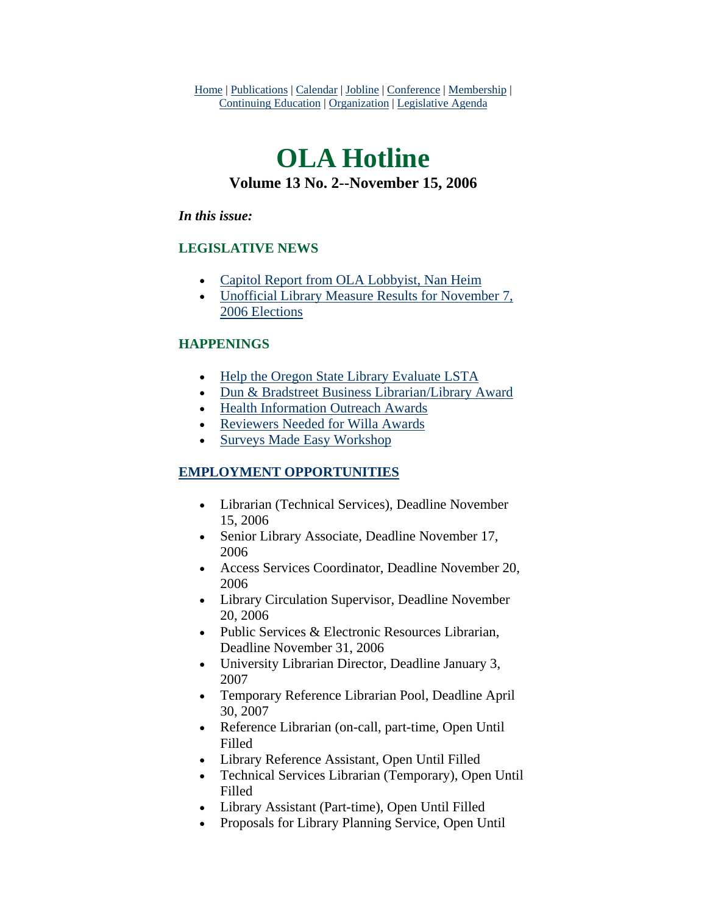Home | Publications | Calendar | Jobline | Conference | Membership | Continuing Education | Organization | Legislative Agenda

# **OLA Hotline Volume 13 No. 2--November 15, 2006**

#### *In this issue:*

#### **LEGISLATIVE NEWS**

- [Capitol Report from OLA Lobbyist, Nan Heim](#page-1-0)
- [Unofficial Library Measure Results for November 7,](#page-2-0)  [2006 Elections](#page-2-0)

#### **HAPPENINGS**

- [Help the Oregon State Library Evaluate LSTA](#page-4-0)
- [Dun & Bradstreet Business Librarian/Library Award](#page-4-0)
- [Health Information Outreach Awards](#page-5-0)
- [Reviewers Needed for Willa Awards](#page-6-0)
- [Surveys Made Easy Workshop](#page-6-0)

#### **EMPLOYMENT OPPORTUNITIES**

- Librarian (Technical Services), Deadline November 15, 2006
- Senior Library Associate, Deadline November 17, 2006
- Access Services Coordinator, Deadline November 20, 2006
- Library Circulation Supervisor, Deadline November 20, 2006
- Public Services & Electronic Resources Librarian, Deadline November 31, 2006
- University Librarian Director, Deadline January 3, 2007
- Temporary Reference Librarian Pool, Deadline April 30, 2007
- Reference Librarian (on-call, part-time, Open Until Filled
- Library Reference Assistant, Open Until Filled
- Technical Services Librarian (Temporary), Open Until Filled
- Library Assistant (Part-time), Open Until Filled
- Proposals for Library Planning Service, Open Until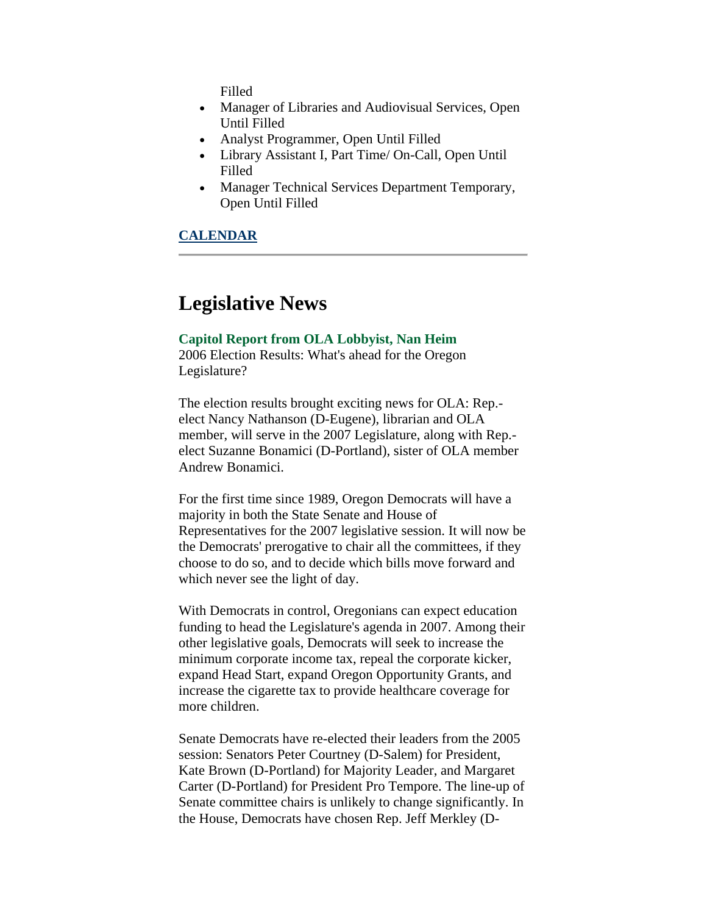Filled

- <span id="page-1-0"></span>• Manager of Libraries and Audiovisual Services, Open Until Filled
- Analyst Programmer, Open Until Filled
- Library Assistant I, Part Time/ On-Call, Open Until Filled
- Manager Technical Services Department Temporary, Open Until Filled

#### **CALENDAR**

### **Legislative News**

#### **Capitol Report from OLA Lobbyist, Nan Heim**

2006 Election Results: What's ahead for the Oregon Legislature?

The election results brought exciting news for OLA: Rep. elect Nancy Nathanson (D-Eugene), librarian and OLA member, will serve in the 2007 Legislature, along with Rep. elect Suzanne Bonamici (D-Portland), sister of OLA member Andrew Bonamici.

For the first time since 1989, Oregon Democrats will have a majority in both the State Senate and House of Representatives for the 2007 legislative session. It will now be the Democrats' prerogative to chair all the committees, if they choose to do so, and to decide which bills move forward and which never see the light of day.

With Democrats in control, Oregonians can expect education funding to head the Legislature's agenda in 2007. Among their other legislative goals, Democrats will seek to increase the minimum corporate income tax, repeal the corporate kicker, expand Head Start, expand Oregon Opportunity Grants, and increase the cigarette tax to provide healthcare coverage for more children.

Senate Democrats have re-elected their leaders from the 2005 session: Senators Peter Courtney (D-Salem) for President, Kate Brown (D-Portland) for Majority Leader, and Margaret Carter (D-Portland) for President Pro Tempore. The line-up of Senate committee chairs is unlikely to change significantly. In the House, Democrats have chosen Rep. Jeff Merkley (D-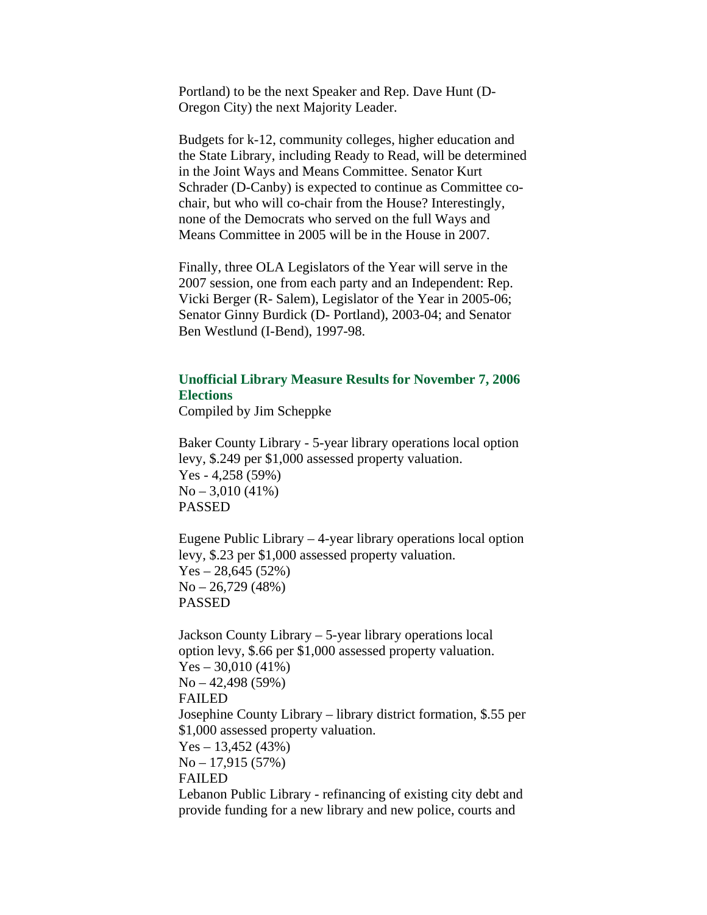<span id="page-2-0"></span>Portland) to be the next Speaker and Rep. Dave Hunt (D-Oregon City) the next Majority Leader.

Budgets for k-12, community colleges, higher education and the State Library, including Ready to Read, will be determined in the Joint Ways and Means Committee. Senator Kurt Schrader (D-Canby) is expected to continue as Committee cochair, but who will co-chair from the House? Interestingly, none of the Democrats who served on the full Ways and Means Committee in 2005 will be in the House in 2007.

Finally, three OLA Legislators of the Year will serve in the 2007 session, one from each party and an Independent: Rep. Vicki Berger (R- Salem), Legislator of the Year in 2005-06; Senator Ginny Burdick (D- Portland), 2003-04; and Senator Ben Westlund (I-Bend), 1997-98.

#### **Unofficial Library Measure Results for November 7, 2006 Elections**

Compiled by Jim Scheppke

Baker County Library - 5-year library operations local option levy, \$.249 per \$1,000 assessed property valuation. Yes - 4,258 (59%)  $No - 3,010 (41%)$ PASSED

Eugene Public Library – 4-year library operations local option levy, \$.23 per \$1,000 assessed property valuation.  $Yes - 28,645 (52%)$  $No - 26,729$  (48%) PASSED

Jackson County Library – 5-year library operations local option levy, \$.66 per \$1,000 assessed property valuation.  $Yes - 30,010 (41%)$  $No - 42,498 (59%)$ FAILED Josephine County Library – library district formation, \$.55 per \$1,000 assessed property valuation.  $Yes - 13,452 (43%)$ No – 17,915 (57%) FAILED Lebanon Public Library - refinancing of existing city debt and

provide funding for a new library and new police, courts and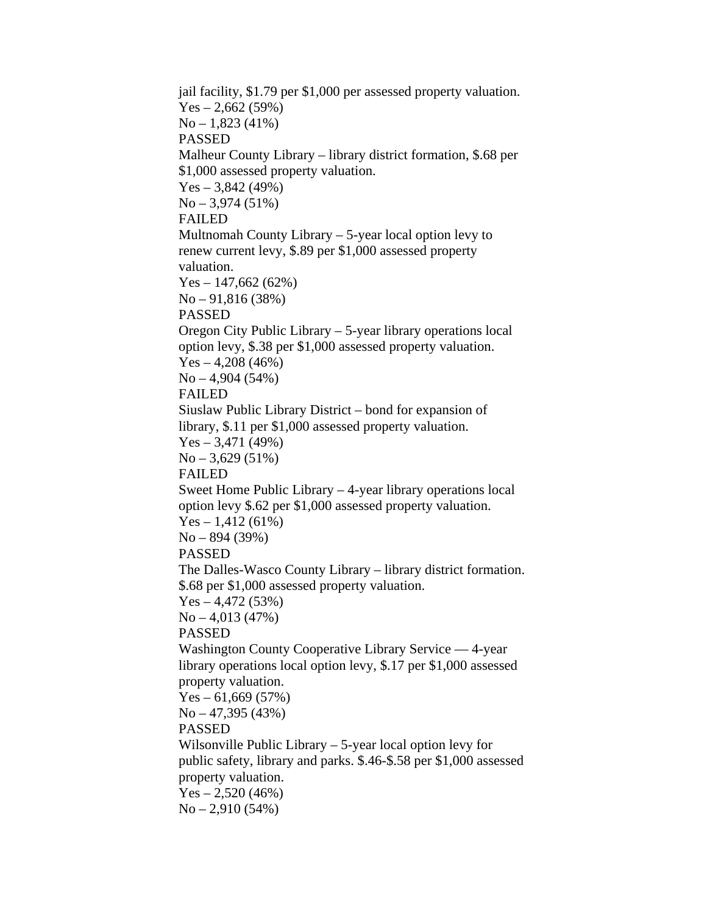jail facility, \$1.79 per \$1,000 per assessed property valuation.  $Yes - 2,662 (59%)$  $No - 1,823 (41%)$ PASSED Malheur County Library – library district formation, \$.68 per \$1,000 assessed property valuation.  $Yes - 3,842 (49%)$ No – 3,974 (51%) FAILED Multnomah County Library – 5-year local option levy to renew current levy, \$.89 per \$1,000 assessed property valuation. Yes – 147,662 (62%) No – 91,816 (38%) PASSED Oregon City Public Library – 5-year library operations local option levy, \$.38 per \$1,000 assessed property valuation.  $Yes - 4,208 (46%)$  $No - 4,904 (54%)$ FAILED Siuslaw Public Library District – bond for expansion of library, \$.11 per \$1,000 assessed property valuation.  $Yes - 3,471 (49%)$  $No - 3,629(51%)$ FAILED Sweet Home Public Library – 4-year library operations local option levy \$.62 per \$1,000 assessed property valuation.  $Yes - 1,412(61%)$ No – 894 (39%) PASSED The Dalles-Wasco County Library – library district formation. \$.68 per \$1,000 assessed property valuation.  $Yes - 4,472 (53%)$  $No - 4,013(47%)$ PASSED Washington County Cooperative Library Service — 4-year library operations local option levy, \$.17 per \$1,000 assessed property valuation.  $Yes - 61,669 (57%)$  $No - 47,395 (43%)$ PASSED Wilsonville Public Library – 5-year local option levy for public safety, library and parks. \$.46-\$.58 per \$1,000 assessed property valuation.  $Yes - 2,520 (46%)$  $No - 2,910 (54%)$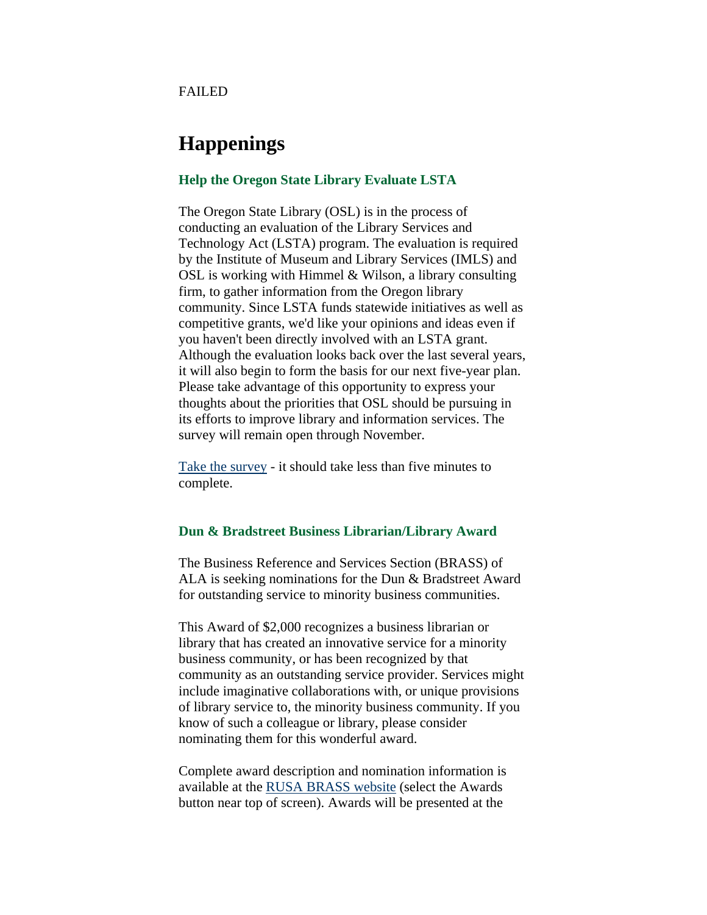<span id="page-4-0"></span>FAILED

### **Happenings**

#### **Help the Oregon State Library Evaluate LSTA**

The Oregon State Library (OSL) is in the process of conducting an evaluation of the Library Services and Technology Act (LSTA) program. The evaluation is required by the Institute of Museum and Library Services (IMLS) and OSL is working with Himmel & Wilson, a library consulting firm, to gather information from the Oregon library community. Since LSTA funds statewide initiatives as well as competitive grants, we'd like your opinions and ideas even if you haven't been directly involved with an LSTA grant. Although the evaluation looks back over the last several years, it will also begin to form the basis for our next five-year plan. Please take advantage of this opportunity to express your thoughts about the priorities that OSL should be pursuing in its efforts to improve library and information services. The survey will remain open through November.

[Take the survey](http://www.libraryconsultant.com/OregonLSTASurvey.htm) - it should take less than five minutes to complete.

#### **Dun & Bradstreet Business Librarian/Library Award**

The Business Reference and Services Section (BRASS) of ALA is seeking nominations for the Dun & Bradstreet Award for outstanding service to minority business communities.

This Award of \$2,000 recognizes a business librarian or library that has created an innovative service for a minority business community, or has been recognized by that community as an outstanding service provider. Services might include imaginative collaborations with, or unique provisions of library service to, the minority business community. If you know of such a colleague or library, please consider nominating them for this wonderful award.

Complete award description and nomination information is available at the [RUSA BRASS website](http://www.ala.org/ala/rusa/rusaourassoc/rusasections/brass/brassawards/awarddescription/dunbradstreetoutstanding.htm) (select the Awards button near top of screen). Awards will be presented at the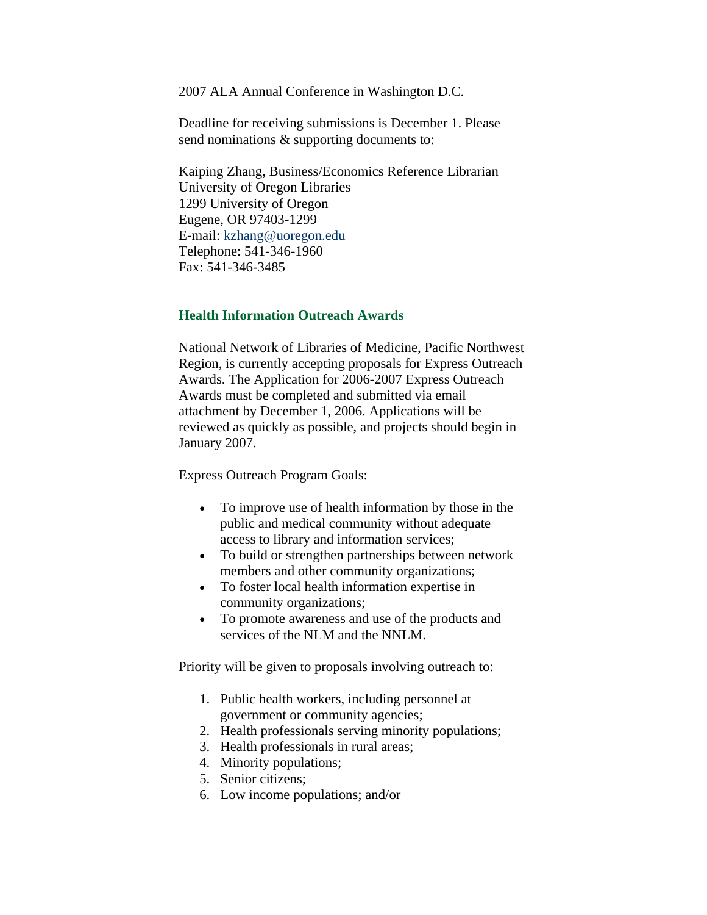<span id="page-5-0"></span>2007 ALA Annual Conference in Washington D.C.

Deadline for receiving submissions is December 1. Please send nominations & supporting documents to:

Kaiping Zhang, Business/Economics Reference Librarian University of Oregon Libraries 1299 University of Oregon Eugene, OR 97403-1299 E-mail: [kzhang@uoregon.edu](mailto:kzhang@uoregon.edu) Telephone: 541-346-1960 Fax: 541-346-3485

#### **Health Information Outreach Awards**

National Network of Libraries of Medicine, Pacific Northwest Region, is currently accepting proposals for Express Outreach Awards. The Application for 2006-2007 Express Outreach Awards must be completed and submitted via email attachment by December 1, 2006. Applications will be reviewed as quickly as possible, and projects should begin in January 2007.

Express Outreach Program Goals:

- To improve use of health information by those in the public and medical community without adequate access to library and information services;
- To build or strengthen partnerships between network members and other community organizations;
- To foster local health information expertise in community organizations;
- To promote awareness and use of the products and services of the NLM and the NNLM.

Priority will be given to proposals involving outreach to:

- 1. Public health workers, including personnel at government or community agencies;
- 2. Health professionals serving minority populations;
- 3. Health professionals in rural areas;
- 4. Minority populations;
- 5. Senior citizens;
- 6. Low income populations; and/or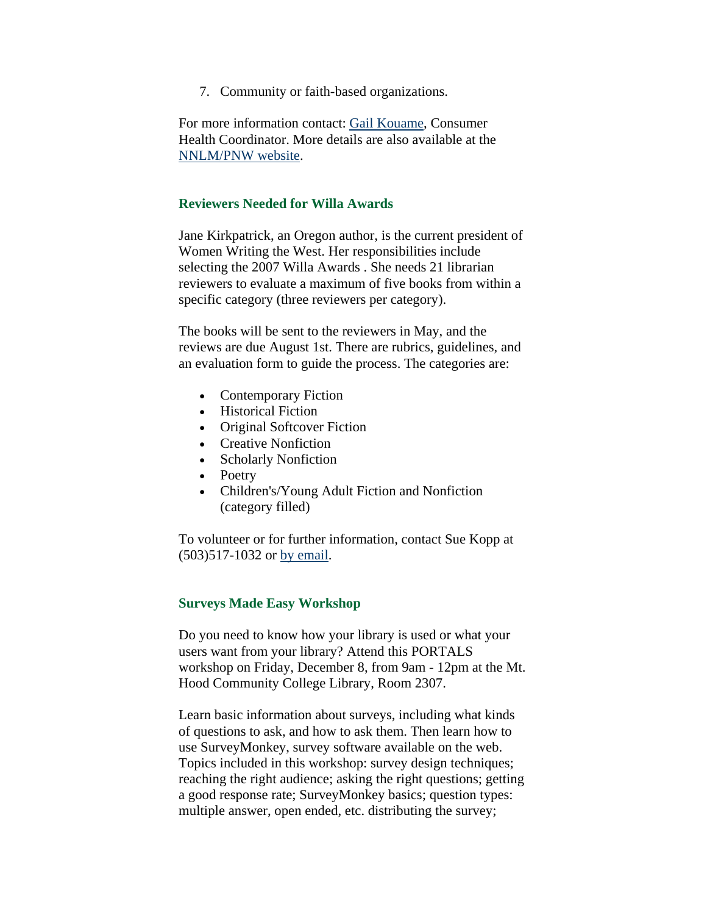7. Community or faith-based organizations.

<span id="page-6-0"></span>For more information contact: [Gail Kouame](mailto:gmarie@u.washington.edu), Consumer Health Coordinator. More details are also available at the [NNLM/PNW website.](http://nnlm.gov/pnr/funding/Express_Outreach_2006.html)

#### **Reviewers Needed for Willa Awards**

Jane Kirkpatrick, an Oregon author, is the current president of Women Writing the West. Her responsibilities include selecting the 2007 Willa Awards . She needs 21 librarian reviewers to evaluate a maximum of five books from within a specific category (three reviewers per category).

The books will be sent to the reviewers in May, and the reviews are due August 1st. There are rubrics, guidelines, and an evaluation form to guide the process. The categories are:

- Contemporary Fiction
- Historical Fiction
- Original Softcover Fiction
- Creative Nonfiction
- Scholarly Nonfiction
- Poetry
- Children's/Young Adult Fiction and Nonfiction (category filled)

To volunteer or for further information, contact Sue Kopp at (503)517-1032 or [by email.](mailto:skopp@warnerpacific.edu)

#### **Surveys Made Easy Workshop**

Do you need to know how your library is used or what your users want from your library? Attend this PORTALS workshop on Friday, December 8, from 9am - 12pm at the Mt. Hood Community College Library, Room 2307.

Learn basic information about surveys, including what kinds of questions to ask, and how to ask them. Then learn how to use SurveyMonkey, survey software available on the web. Topics included in this workshop: survey design techniques; reaching the right audience; asking the right questions; getting a good response rate; SurveyMonkey basics; question types: multiple answer, open ended, etc. distributing the survey;